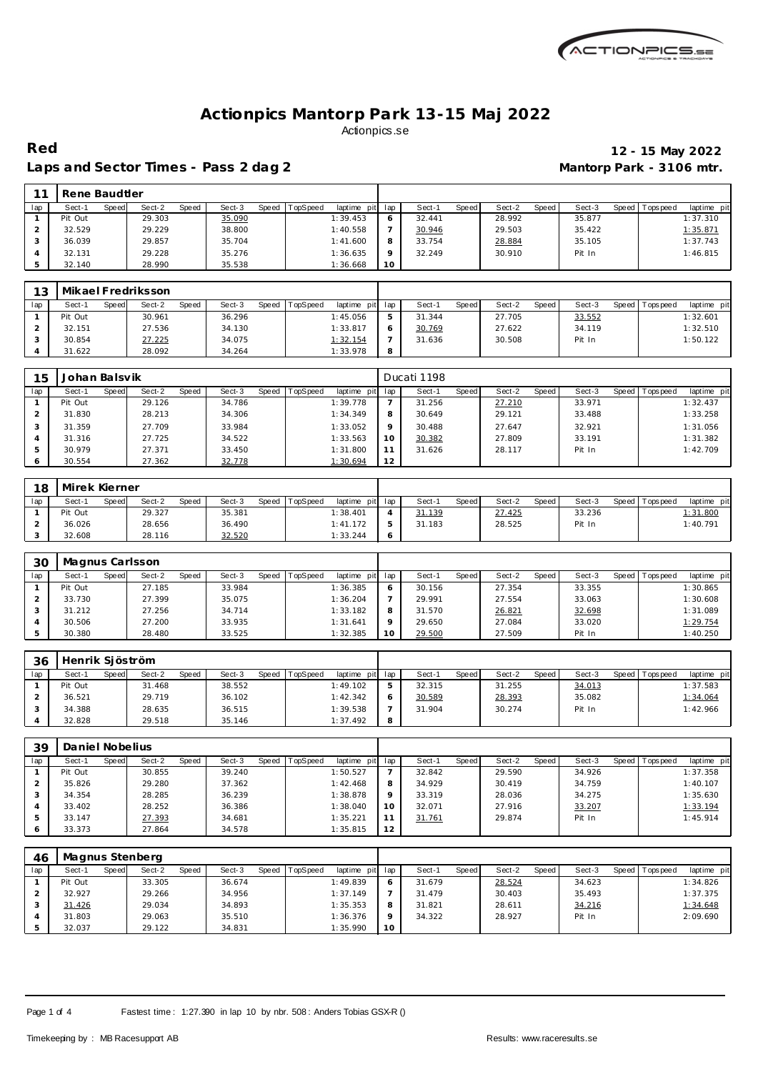

Laps and Sector Times - Pass 2 dag 2 **Mantorp Park - 3106 mtr.** 

## **Red 12 - 15 May 2022**

|     | Rene Baudtler |       |        |       |        |                |             |     |        |       |        |       |        |                 |             |
|-----|---------------|-------|--------|-------|--------|----------------|-------------|-----|--------|-------|--------|-------|--------|-----------------|-------------|
| lap | Sect-1        | Speed | Sect-2 | Speed | Sect-3 | Speed TopSpeed | laptime pit | lap | Sect-1 | Speed | Sect-2 | Speed | Sect-3 | Speed Tops peed | laptime pit |
|     | Pit Out       |       | 29.303 |       | 35.090 |                | 1:39.453    | O   | 32.441 |       | 28.992 |       | 35.877 |                 | 1:37.310    |
|     | 32.529        |       | 29.229 |       | 38.800 |                | 1:40.558    |     | 30.946 |       | 29.503 |       | 35.422 |                 | 1:35.871    |
|     | 36.039        |       | 29.857 |       | 35.704 |                | 1:41.600    | 8   | 33.754 |       | 28.884 |       | 35.105 |                 | 1:37.743    |
|     | 32.131        |       | 29.228 |       | 35.276 |                | 1:36.635    | o   | 32.249 |       | 30.910 |       | Pit In |                 | 1:46.815    |
|     | 32.140        |       | 28.990 |       | 35.538 |                | 1:36.668    | 10  |        |       |        |       |        |                 |             |

| イク  |         |       | Mikael Fredriksson |       |        |                |                 |   |        |       |        |       |        |                 |             |
|-----|---------|-------|--------------------|-------|--------|----------------|-----------------|---|--------|-------|--------|-------|--------|-----------------|-------------|
| lap | Sect-1  | Speed | Sect-2             | Speed | Sect-3 | Speed TopSpeed | laptime pit lap |   | Sect-1 | Speed | Sect-2 | Speed | Sect-3 | Speed Tops peed | laptime pit |
|     | Pit Out |       | 30.961             |       | 36.296 |                | 1:45.056        | 5 | 31.344 |       | 27.705 |       | 33.552 |                 | 1:32.601    |
|     | 32.151  |       | 27.536             |       | 34.130 |                | 1:33.817        |   | 30.769 |       | 27.622 |       | 34.119 |                 | 1:32.510    |
|     | 30.854  |       | 27.225             |       | 34.075 |                | 1:32.154        |   | 31.636 |       | 30.508 |       | Pit In |                 | 1:50.122    |
|     | 31.622  |       | 28.092             |       | 34.264 |                | 1:33.978        | 8 |        |       |        |       |        |                 |             |

| 15  | Johan Balsvik |       |        |       |        |       |                 |             |          | Ducati 1198 |       |        |       |        |                 |             |
|-----|---------------|-------|--------|-------|--------|-------|-----------------|-------------|----------|-------------|-------|--------|-------|--------|-----------------|-------------|
| lap | Sect-1        | Speed | Sect-2 | Speed | Sect-3 | Speed | <b>TopSpeed</b> | laptime pit | lap      | Sect-1      | Speed | Sect-2 | Speed | Sect-3 | Speed Tops peed | laptime pit |
|     | Pit Out       |       | 29.126 |       | 34.786 |       |                 | 1:39.778    |          | 31.256      |       | 27.210 |       | 33.971 |                 | 1:32.437    |
|     | 31.830        |       | 28.213 |       | 34.306 |       |                 | 1:34.349    | 8        | 30.649      |       | 29.121 |       | 33.488 |                 | 1:33.258    |
|     | 31.359        |       | 27.709 |       | 33.984 |       |                 | 1:33.052    | $\Omega$ | 30.488      |       | 27.647 |       | 32.921 |                 | 1:31.056    |
|     | 31.316        |       | 27.725 |       | 34.522 |       |                 | 1:33.563    | 10       | 30.382      |       | 27.809 |       | 33.191 |                 | 1:31.382    |
|     | 30.979        |       | 27.371 |       | 33.450 |       |                 | 1:31.800    |          | 31.626      |       | 28.117 |       | Pit In |                 | 1:42.709    |
|     | 30.554        |       | 27.362 |       | 32.778 |       |                 | 1:30.694    | 12       |             |       |        |       |        |                 |             |

| 18  | Mirek Kierner |       |        |              |        |                |                 |        |              |        |       |        |       |             |                 |
|-----|---------------|-------|--------|--------------|--------|----------------|-----------------|--------|--------------|--------|-------|--------|-------|-------------|-----------------|
| lap | Sect-′        | Speed | Sect-2 | <b>Speed</b> | Sect-3 | Speed TopSpeed | laptime pit lap | Sect-  | <b>Speed</b> | Sect-2 | Speed | Sect-3 | Speed | I Tops peed | laptime pit     |
|     | Pit Out       |       | 29.327 |              | 35.381 |                | 1:38.401        | 31.139 |              | 27.425 |       | 33.236 |       |             | <u>1:31.800</u> |
|     | 36.026        |       | 28.656 |              | 36.490 |                | 1:41.172        | 31.183 |              | 28.525 |       | Pit In |       |             | 1:40.791        |
|     | 32.608        |       | 28.116 |              | 32.520 |                | 1:33.244        |        |              |        |       |        |       |             |                 |

| 30  | Magnus Carlsson |       |        |       |        |       |          |             |                 |        |       |        |       |        |       |            |             |
|-----|-----------------|-------|--------|-------|--------|-------|----------|-------------|-----------------|--------|-------|--------|-------|--------|-------|------------|-------------|
| lap | Sect-1          | Speed | Sect-2 | Speed | Sect-3 | Speed | TopSpeed | laptime pit | lap             | Sect-' | Speed | Sect-2 | Speed | Sect-3 | Speed | Fops pee d | laptime pit |
|     | Pit Out         |       | 27.185 |       | 33.984 |       |          | 1:36.385    | $\sigma$        | 30.156 |       | 27.354 |       | 33.355 |       |            | 1:30.865    |
|     | 33.730          |       | 27.399 |       | 35.075 |       |          | 1:36.204    |                 | 29.991 |       | 27.554 |       | 33.063 |       |            | 1:30.608    |
|     | 31.212          |       | 27.256 |       | 34.714 |       |          | 1:33.182    | 8               | 31.570 |       | 26.821 |       | 32.698 |       |            | 1:31.089    |
|     | 30.506          |       | 27.200 |       | 33.935 |       |          | 1:31.641    | $\circ$         | 29.650 |       | 27.084 |       | 33.020 |       |            | 1:29.754    |
|     | 30.380          |       | 28.480 |       | 33.525 |       |          | 1:32.385    | 10 <sup>°</sup> | 29.500 |       | 27.509 |       | Pit In |       |            | 1:40.250    |

| 36  | Henrik Sjöström |       |        |       |        |       |          |                 |   |        |       |        |         |        |         |            |             |
|-----|-----------------|-------|--------|-------|--------|-------|----------|-----------------|---|--------|-------|--------|---------|--------|---------|------------|-------------|
| lap | Sect-′          | Speed | Sect-2 | Speed | Sect-3 | Speed | TopSpeed | laptime pit lap |   | Sect-1 | Speed | Sect-2 | Speed I | Sect-3 | Speed I | T ops peed | laptime pit |
|     | Pit Out         |       | 31.468 |       | 38.552 |       |          | 1:49.102        |   | 32.315 |       | 31.255 |         | 34.013 |         |            | 1:37.583    |
|     | 36.521          |       | 29.719 |       | 36.102 |       |          | 1:42.342        |   | 30.589 |       | 28.393 |         | 35.082 |         |            | 1:34.064    |
|     | 34.388          |       | 28.635 |       | 36.515 |       |          | 1:39.538        |   | 31.904 |       | 30.274 |         | Pit In |         |            | 1:42.966    |
|     | 32.828          |       | 29.518 |       | 35.146 |       |          | 1:37.492        | 8 |        |       |        |         |        |         |            |             |

| 39  | Daniel Nobelius |       |        |       |        |       |          |             |             |        |       |        |       |        |                |             |
|-----|-----------------|-------|--------|-------|--------|-------|----------|-------------|-------------|--------|-------|--------|-------|--------|----------------|-------------|
| lap | Sect-1          | Speed | Sect-2 | Speed | Sect-3 | Speed | TopSpeed | laptime pit | lap         | Sect-1 | Speed | Sect-2 | Speed | Sect-3 | Speed Topspeed | laptime pit |
|     | Pit Out         |       | 30.855 |       | 39.240 |       |          | 1:50.527    |             | 32.842 |       | 29.590 |       | 34.926 |                | 1:37.358    |
|     | 35.826          |       | 29.280 |       | 37.362 |       |          | 1:42.468    | 8           | 34.929 |       | 30.419 |       | 34.759 |                | 1:40.107    |
|     | 34.354          |       | 28.285 |       | 36.239 |       |          | 1:38.878    | $\mathsf Q$ | 33.319 |       | 28.036 |       | 34.275 |                | 1:35.630    |
| 4   | 33.402          |       | 28.252 |       | 36.386 |       |          | 1:38.040    | 10          | 32.071 |       | 27.916 |       | 33.207 |                | 1:33.194    |
| 5   | 33.147          |       | 27.393 |       | 34.681 |       |          | 1:35.221    |             | 31.761 |       | 29.874 |       | Pit In |                | 1:45.914    |
| O   | 33.373          |       | 27.864 |       | 34.578 |       |          | 1:35.815    | 12          |        |       |        |       |        |                |             |

| 46  | Magnus Stenberg |       |        |              |        |       |          |             |         |        |              |        |       |        |       |            |             |
|-----|-----------------|-------|--------|--------------|--------|-------|----------|-------------|---------|--------|--------------|--------|-------|--------|-------|------------|-------------|
| lap | Sect-1          | Speed | Sect-2 | <b>Speed</b> | Sect-3 | Speed | TopSpeed | laptime pit | lap     | Sect-1 | <b>Speed</b> | Sect-2 | Speed | Sect-3 | Speed | Tops pee d | laptime pit |
|     | Pit Out         |       | 33.305 |              | 36.674 |       |          | 1:49.839    | 6       | 31.679 |              | 28.524 |       | 34.623 |       |            | 1:34.826    |
|     | 32.927          |       | 29.266 |              | 34.956 |       |          | 1:37.149    |         | 31.479 |              | 30.403 |       | 35.493 |       |            | 1:37.375    |
|     | <u>31.426</u>   |       | 29.034 |              | 34.893 |       |          | 1:35.353    | 8       | 31.821 |              | 28.611 |       | 34.216 |       |            | 1:34.648    |
|     | 31.803          |       | 29.063 |              | 35.510 |       |          | 1:36.376    | $\circ$ | 34.322 |              | 28.927 |       | Pit In |       |            | 2:09.690    |
|     | 32.037          |       | 29.122 |              | 34.831 |       |          | 1:35.990    | 10      |        |              |        |       |        |       |            |             |

Page 1 of 4 Fastest time: 1:27.390 in lap 10 by nbr. 508: Anders Tobias GSX-R ()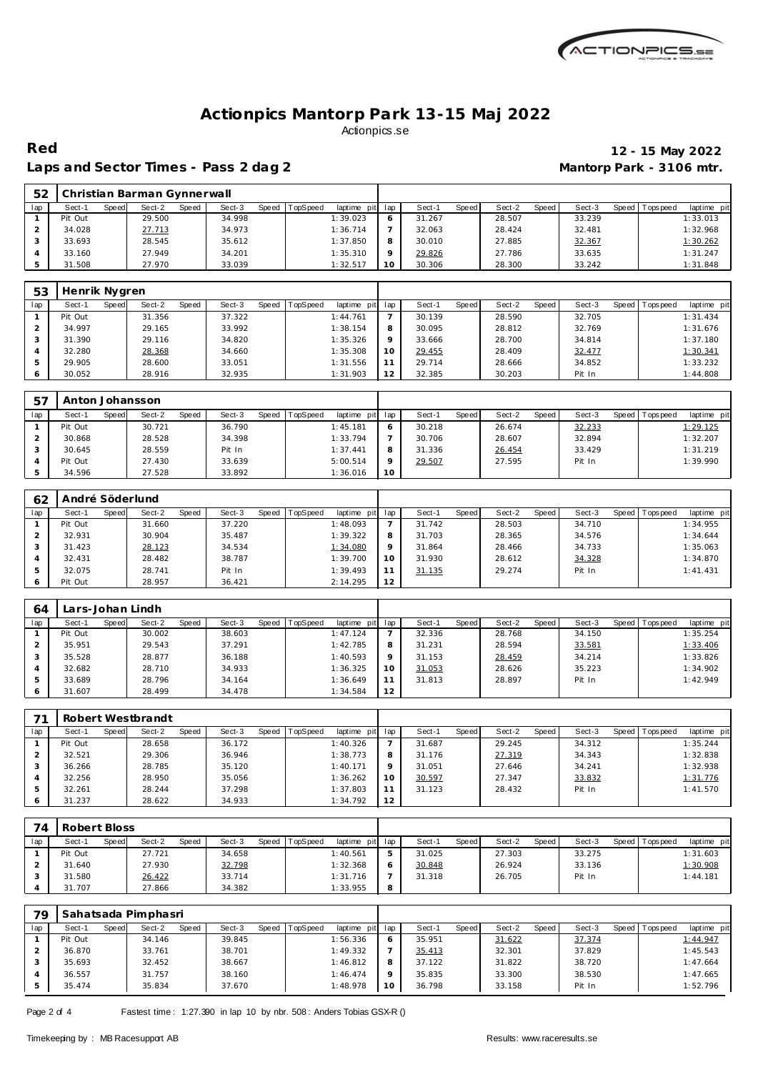

Laps and Sector Times - Pass 2 dag 2 **Mantorp Park - 3106 mtr.** 

# **Red 12 - 15 May 2022**

|    | 52 Christian Barman Gynnerwall |  |  |                                                    |  |        |  |
|----|--------------------------------|--|--|----------------------------------------------------|--|--------|--|
| an | Sect-1 Speed                   |  |  | Sect-2 Speed Sect-3 Speed TopSpeed lantime pit Lan |  | Sect-1 |  |

| lap | Sect-   | Speed | Sect-2 | Speed | Sect-3 | Speed | TopSpeed | laptime<br>pit | lap          | Sect-  | <b>Speed</b> | Sect-2 | <b>Speed</b> | Sect-3 | Speec | Tops pee d | laptime pit |
|-----|---------|-------|--------|-------|--------|-------|----------|----------------|--------------|--------|--------------|--------|--------------|--------|-------|------------|-------------|
|     | Pit Out |       | 29.500 |       | 34.998 |       |          | 1:39.023       | <sub>O</sub> | 31.267 |              | 28.507 |              | 33.239 |       |            | 1:33.013    |
|     | 34.028  |       | 27.713 |       | 34.973 |       |          | 1:36.714       |              | 32.063 |              | 28.424 |              | 32.481 |       |            | 1:32.968    |
|     | 33.693  |       | 28.545 |       | 35.612 |       |          | 1:37.850       |              | 30.010 |              | 27.885 |              | 32.367 |       |            | 1:30.262    |
|     | 33.160  |       | 27.949 |       | 34.201 |       |          | 1:35.310       | $\Omega$     | 29.826 |              | 27.786 |              | 33.635 |       |            | 1:31.247    |
|     | 31.508  |       | 27.970 |       | 33.039 |       |          | 1:32.517       | 10           | 30.306 |              | 28.300 |              | 33.242 |       |            | 1:31.848    |

| 53  | Henrik Nygren |       |        |       |        |       |          |             |     |        |       |        |       |        |         |            |             |
|-----|---------------|-------|--------|-------|--------|-------|----------|-------------|-----|--------|-------|--------|-------|--------|---------|------------|-------------|
| lap | Sect-1        | Speed | Sect-2 | Speed | Sect-3 | Speed | TopSpeed | laptime pit | lap | Sect-  | Speed | Sect-2 | Speed | Sect-3 | Speed I | T ops peed | laptime pit |
|     | Pit Out       |       | 31.356 |       | 37.322 |       |          | 1: 44.761   |     | 30.139 |       | 28.590 |       | 32.705 |         |            | 1:31.434    |
|     | 34.997        |       | 29.165 |       | 33.992 |       |          | 1:38.154    | 8   | 30.095 |       | 28.812 |       | 32.769 |         |            | 1:31.676    |
|     | 31.390        |       | 29.116 |       | 34.820 |       |          | 1:35.326    | Q   | 33.666 |       | 28.700 |       | 34.814 |         |            | 1:37.180    |
|     | 32.280        |       | 28.368 |       | 34.660 |       |          | 1:35.308    | 10  | 29.455 |       | 28.409 |       | 32.477 |         |            | 1:30.341    |
|     | 29.905        |       | 28.600 |       | 33.051 |       |          | 1:31.556    | 11  | 29.714 |       | 28.666 |       | 34.852 |         |            | 1:33.232    |
|     | 30.052        |       | 28.916 |       | 32.935 |       |          | 1:31.903    | 12  | 32.385 |       | 30.203 |       | Pit In |         |            | 1:44.808    |

| 57  | Anton Johansson |       |        |       |        |       |                 |                 |    |        |              |        |       |        |       |           |             |
|-----|-----------------|-------|--------|-------|--------|-------|-----------------|-----------------|----|--------|--------------|--------|-------|--------|-------|-----------|-------------|
| lap | Sect-1          | Speed | Sect-2 | Speed | Sect-3 | Speed | <b>TopSpeed</b> | laptime pit lap |    | Sect-1 | <b>Speed</b> | Sect-2 | Speed | Sect-3 | Speed | Tops peed | laptime pit |
|     | Pit Out         |       | 30.721 |       | 36.790 |       |                 | 1:45.181        |    | 30.218 |              | 26.674 |       | 32.233 |       |           | 1:29.125    |
|     | 30.868          |       | 28.528 |       | 34.398 |       |                 | 1:33.794        |    | 30.706 |              | 28.607 |       | 32.894 |       |           | 1:32.207    |
|     | 30.645          |       | 28.559 |       | Pit In |       |                 | 1:37.441        | O  | 31.336 |              | 26.454 |       | 33.429 |       |           | 1:31.219    |
|     | Pit Out         |       | 27.430 |       | 33.639 |       |                 | 5:00.514        |    | 29.507 |              | 27.595 |       | Pit In |       |           | 1:39.990    |
|     | 34.596          |       | 27.528 |       | 33.892 |       |                 | 1:36.016        | 10 |        |              |        |       |        |       |           |             |

| 62  | André Söderlund |       |        |       |        |       |                 |             |                 |        |       |        |       |        |         |            |             |
|-----|-----------------|-------|--------|-------|--------|-------|-----------------|-------------|-----------------|--------|-------|--------|-------|--------|---------|------------|-------------|
| lap | Sect-1          | Speed | Sect-2 | Speed | Sect-3 | Speed | <b>TopSpeed</b> | laptime pit | lap             | Sect-1 | Speed | Sect-2 | Speed | Sect-3 | Speed I | Tops pee d | laptime pit |
|     | Pit Out         |       | 31.660 |       | 37.220 |       |                 | 1:48.093    |                 | 31.742 |       | 28.503 |       | 34.710 |         |            | 1:34.955    |
|     | 32.931          |       | 30.904 |       | 35.487 |       |                 | 1:39.322    | 8               | 31.703 |       | 28.365 |       | 34.576 |         |            | 1:34.644    |
|     | 31.423          |       | 28.123 |       | 34.534 |       |                 | 1:34.080    | $\circ$         | 31.864 |       | 28.466 |       | 34.733 |         |            | 1:35.063    |
|     | 32.431          |       | 28.482 |       | 38.787 |       |                 | 1:39.700    | 10 <sup>°</sup> | 31.930 |       | 28.612 |       | 34.328 |         |            | 1:34.870    |
| 5   | 32.075          |       | 28.741 |       | Pit In |       |                 | 1:39.493    |                 | 31.135 |       | 29.274 |       | Pit In |         |            | 1:41.431    |
|     | Pit Out         |       | 28.957 |       | 36.421 |       |                 | 2:14.295    | 12              |        |       |        |       |        |         |            |             |

| 64  |         |       | Lars-Johan Lindh |       |        |       |          |             |     |        |       |        |              |        |       |            |             |
|-----|---------|-------|------------------|-------|--------|-------|----------|-------------|-----|--------|-------|--------|--------------|--------|-------|------------|-------------|
| lap | Sect-1  | Speed | Sect-2           | Speed | Sect-3 | Speed | TopSpeed | laptime pit | lap | Sect-1 | Speed | Sect-2 | <b>Speed</b> | Sect-3 | Speed | Tops pee d | laptime pit |
|     | Pit Out |       | 30.002           |       | 38.603 |       |          | 1:47.124    |     | 32.336 |       | 28.768 |              | 34.150 |       |            | 1:35.254    |
|     | 35.951  |       | 29.543           |       | 37.291 |       |          | 1:42.785    | 8   | 31.231 |       | 28.594 |              | 33.581 |       |            | 1:33.406    |
|     | 35.528  |       | 28.877           |       | 36.188 |       |          | 1:40.593    | 9   | 31.153 |       | 28.459 |              | 34.214 |       |            | 1:33.826    |
|     | 32.682  |       | 28.710           |       | 34.933 |       |          | 1:36.325    | 10  | 31.053 |       | 28.626 |              | 35.223 |       |            | 1:34.902    |
| 5   | 33.689  |       | 28.796           |       | 34.164 |       |          | 1:36.649    | 11  | 31.813 |       | 28.897 |              | Pit In |       |            | 1:42.949    |
|     | 31.607  |       | 28.499           |       | 34.478 |       |          | 1:34.584    | 12  |        |       |        |              |        |       |            |             |

|     | Robert Westbrandt |       |        |       |        |                |             |         |        |       |        |       |        |       |           |             |
|-----|-------------------|-------|--------|-------|--------|----------------|-------------|---------|--------|-------|--------|-------|--------|-------|-----------|-------------|
| lap | Sect-1            | Speed | Sect-2 | Speed | Sect-3 | Speed TopSpeed | laptime pit | lap     | Sect-1 | Speed | Sect-2 | Speed | Sect-3 | Speed | Tops peed | laptime pit |
|     | Pit Out           |       | 28.658 |       | 36.172 |                | 1:40.326    |         | 31.687 |       | 29.245 |       | 34.312 |       |           | 1:35.244    |
|     | 32.521            |       | 29.306 |       | 36.946 |                | 1:38.773    | 8       | 31.176 |       | 27.319 |       | 34.343 |       |           | 1:32.838    |
|     | 36.266            |       | 28.785 |       | 35.120 |                | 1:40.171    | $\circ$ | 31.051 |       | 27.646 |       | 34.241 |       |           | 1:32.938    |
| 4   | 32.256            |       | 28.950 |       | 35.056 |                | 1:36.262    | 10      | 30.597 |       | 27.347 |       | 33.832 |       |           | 1:31.776    |
|     | 32.261            |       | 28.244 |       | 37.298 |                | 1:37.803    | 11      | 31.123 |       | 28.432 |       | Pit In |       |           | 1:41.570    |
|     | 31.237            |       | 28.622 |       | 34.933 |                | 1:34.792    | 12      |        |       |        |       |        |       |           |             |

| 74  | Robert Bloss |       |        |       |        |       |          |             |     |        |       |        |              |        |         |           |             |
|-----|--------------|-------|--------|-------|--------|-------|----------|-------------|-----|--------|-------|--------|--------------|--------|---------|-----------|-------------|
| lap | Sect-1       | Speed | Sect-2 | Speed | Sect-3 | Speed | TopSpeed | laptime pit | lap | Sect-1 | Speed | Sect-2 | <b>Speed</b> | Sect-3 | Speed I | Tops peed | laptime pit |
|     | Pit Out      |       | 27.721 |       | 34.658 |       |          | 1:40.561    | 5   | 31.025 |       | 27.303 |              | 33.275 |         |           | 1:31.603    |
|     | 31.640       |       | 27.930 |       | 32.798 |       |          | 1:32.368    | 6   | 30.848 |       | 26.924 |              | 33.136 |         |           | 1:30.908    |
|     | 31.580       |       | 26.422 |       | 33.714 |       |          | 1:31.716    |     | 31.318 |       | 26.705 |              | Pit In |         |           | 1:44.181    |
|     | 31.707       |       | 27.866 |       | 34.382 |       |          | 1:33.955    | 8   |        |       |        |              |        |         |           |             |

| 79  |         |       | Sahatsada Pimphasri |       |        |       |          |             |         |        |       |        |       |        |       |            |             |
|-----|---------|-------|---------------------|-------|--------|-------|----------|-------------|---------|--------|-------|--------|-------|--------|-------|------------|-------------|
| lap | Sect-1  | Speed | Sect-2              | Speed | Sect-3 | Speed | TopSpeed | laptime pit | lap     | Sect-  | Speed | Sect-2 | Speed | Sect-3 | Speed | Tops pee d | laptime pit |
|     | Pit Out |       | 34.146              |       | 39.845 |       |          | 1:56.336    | O       | 35.951 |       | 31.622 |       | 37.374 |       |            | 1:44.947    |
|     | 36.870  |       | 33.761              |       | 38.701 |       |          | 1:49.332    |         | 35.413 |       | 32.301 |       | 37.829 |       |            | 1:45.543    |
|     | 35.693  |       | 32.452              |       | 38.667 |       |          | 1:46.812    | 8       | 37.122 |       | 31.822 |       | 38.720 |       |            | 1:47.664    |
|     | 36.557  |       | 31.757              |       | 38.160 |       |          | 1:46.474    | $\circ$ | 35.835 |       | 33.300 |       | 38.530 |       |            | 1:47.665    |
|     | 35.474  |       | 35.834              |       | 37.670 |       |          | 1:48.978    | 10      | 36.798 |       | 33.158 |       | Pit In |       |            | 1:52.796    |

Page 2 of 4 Fastest time: 1:27.390 in lap 10 by nbr. 508: Anders Tobias GSX-R ()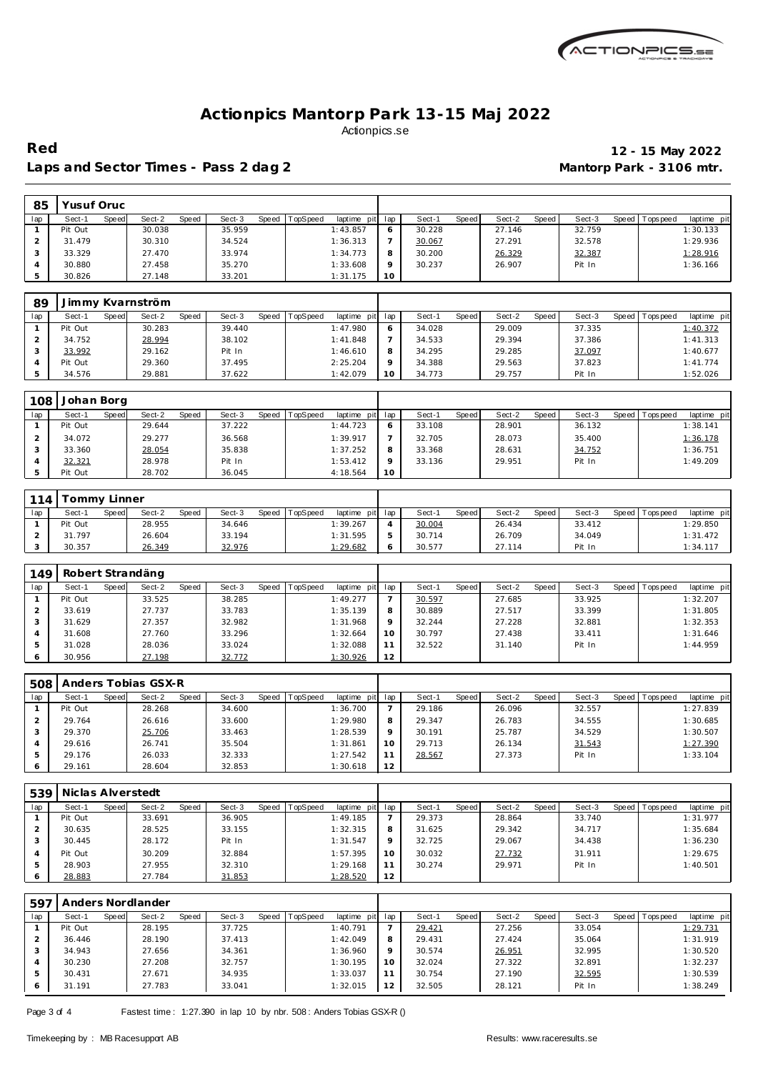

**Red 12 - 15 May 2022** Laps and Sector Times - Pass 2 dag 2 **Mantorp Park - 3106 mtr.** 

 **Yusuf Oruc**

| lap            | Sect-1           | Speed | Sect-2           | Speed | Sect-3   | Speed | TopSpeed | laptime pit     | lap             | Sect-1 | Speed | Sect-2 | Speed | Sect-3 | Speed | Tops pee d | laptime pit |
|----------------|------------------|-------|------------------|-------|----------|-------|----------|-----------------|-----------------|--------|-------|--------|-------|--------|-------|------------|-------------|
| $\mathbf{1}$   | Pit Out          |       | 30.038           |       | 35.959   |       |          | 1:43.857        | 6               | 30.228 |       | 27.146 |       | 32.759 |       |            | 1:30.133    |
| 2              | 31.479           |       | 30.310           |       | 34.524   |       |          | 1:36.313        | 7               | 30.067 |       | 27.291 |       | 32.578 |       |            | 1:29.936    |
| 3              | 33.329           |       | 27.470           |       | 33.974   |       |          | 1:34.773        | 8               | 30.200 |       | 26.329 |       | 32.387 |       |            | 1:28.916    |
| $\overline{4}$ | 30.880           |       | 27.458           |       | 35.270   |       |          | 1:33.608        | 9               | 30.237 |       | 26.907 |       | Pit In |       |            | 1:36.166    |
| 5              | 30.826           |       | 27.148           |       | 33.201   |       |          | 1:31.175        | 10              |        |       |        |       |        |       |            |             |
|                |                  |       |                  |       |          |       |          |                 |                 |        |       |        |       |        |       |            |             |
| 89             |                  |       | Jimmy Kvarnström |       |          |       |          |                 |                 |        |       |        |       |        |       |            |             |
| lap            | Sect-1           | Speed | Sect-2           | Speed | $Sect-3$ | Speed | TopSpeed | laptime pit     | lap             | Sect-1 | Speed | Sect-2 | Speed | Sect-3 | Speed | Tops peed  | laptime pit |
| $\mathbf{1}$   | Pit Out          |       | 30.283           |       | 39.440   |       |          | 1:47.980        | 6               | 34.028 |       | 29.009 |       | 37.335 |       |            | 1:40.372    |
| $\overline{2}$ | 34.752           |       | 28.994           |       | 38.102   |       |          | 1:41.848        | $\overline{7}$  | 34.533 |       | 29.394 |       | 37.386 |       |            | 1:41.313    |
| 3              | 33.992           |       | 29.162           |       | Pit In   |       |          | 1:46.610        | 8               | 34.295 |       | 29.285 |       | 37.097 |       |            | 1:40.677    |
| $\overline{4}$ | Pit Out          |       | 29.360           |       | 37.495   |       |          | 2:25.204        | 9               | 34.388 |       | 29.563 |       | 37.823 |       |            | 1:41.774    |
| 5              | 34.576           |       | 29.881           |       | 37.622   |       |          | 1:42.079        | 10              | 34.773 |       | 29.757 |       | Pit In |       |            | 1:52.026    |
|                |                  |       |                  |       |          |       |          |                 |                 |        |       |        |       |        |       |            |             |
| 108            | Johan Borg       |       |                  |       |          |       |          |                 |                 |        |       |        |       |        |       |            |             |
| lap            | Sect-1           | Speed | Sect-2           | Speed | Sect-3   | Speed | TopSpeed | laptime pit     | lap             | Sect-1 | Speed | Sect-2 | Speed | Sect-3 | Speed | Tops peed  | laptime pit |
| $\mathbf{1}$   | Pit Out          |       | 29.644           |       | 37.222   |       |          | 1:44.723        | 6               | 33.108 |       | 28.901 |       | 36.132 |       |            | 1:38.141    |
| $\overline{a}$ | 34.072           |       | 29.277           |       | 36.568   |       |          | 1:39.917        | $\overline{7}$  | 32.705 |       | 28.073 |       | 35.400 |       |            | 1:36.178    |
| 3              | 33.360           |       | 28.054           |       | 35.838   |       |          | 1:37.252        | 8               | 33.368 |       | 28.631 |       | 34.752 |       |            | 1:36.751    |
| $\overline{4}$ | 32.321           |       | 28.978           |       | Pit In   |       |          | 1:53.412        | 9               | 33.136 |       | 29.951 |       | Pit In |       |            | 1:49.209    |
| 5              | Pit Out          |       | 28.702           |       | 36.045   |       |          | 4:18.564        | 10              |        |       |        |       |        |       |            |             |
|                |                  |       |                  |       |          |       |          |                 |                 |        |       |        |       |        |       |            |             |
| 114            | Tommy Linner     |       |                  |       |          |       |          |                 |                 |        |       |        |       |        |       |            |             |
| lap            | Sect-1           | Speed | Sect-2           | Speed | Sect-3   | Speed | TopSpeed | laptime pit     | ap              | Sect-1 | Speed | Sect-2 | Speed | Sect-3 | Speed | Tops pee d | laptime pit |
| $\mathbf{1}$   | Pit Out          |       | 28.955           |       | 34.646   |       |          | 1:39.267        | $\overline{4}$  | 30.004 |       | 26.434 |       | 33.412 |       |            | 1:29.850    |
| $\overline{2}$ | 31.797           |       | 26.604           |       | 33.194   |       |          | 1:31.595        | 5               | 30.714 |       | 26.709 |       | 34.049 |       |            | 1:31.472    |
| 3              | 30.357           |       | 26.349           |       | 32.976   |       |          | 1:29.682        | 6               | 30.577 |       | 27.114 |       | Pit In |       |            | 1:34.117    |
|                |                  |       |                  |       |          |       |          |                 |                 |        |       |        |       |        |       |            |             |
| 149            | Robert Strandäng |       |                  |       |          |       |          |                 |                 |        |       |        |       |        |       |            |             |
| lap            | Sect-1           | Speed | Sect-2           | Speed | Sect-3   | Speed | TopSpeed | laptime pit lap |                 | Sect-1 | Speed | Sect-2 | Speed | Sect-3 | Speed | Tops peed  | laptime pit |
| 1              | Pit Out          |       | 33.525           |       | 38.285   |       |          | 1:49.277        | $7\overline{ }$ | 30.597 |       | 27.685 |       | 33.925 |       |            | 1:32.207    |
| $\overline{2}$ | 33.619           |       | 27.737           |       | 33.783   |       |          | 1:35.139        | 8               | 30.889 |       | 27.517 |       | 33.399 |       |            | 1:31.805    |
| 3              | 31.629           |       | 27.357           |       | 32.982   |       |          | 1:31.968        | 9               | 32.244 |       | 27.228 |       | 32.881 |       |            | 1:32.353    |
| 4              | 31.608           |       | 27.760           |       | 33.296   |       |          | 1:32.664        | 10              | 30.797 |       | 27.438 |       | 33.411 |       |            | 1:31.646    |

| 508            |         |       | Anders Tobias GSX-R |       |        |       |                 |             |         |        |              |        |       |        |                 |             |
|----------------|---------|-------|---------------------|-------|--------|-------|-----------------|-------------|---------|--------|--------------|--------|-------|--------|-----------------|-------------|
| lap            | Sect-1  | Speed | Sect-2              | Speed | Sect-3 | Speed | <b>TopSpeed</b> | laptime pit | lap     | Sect-1 | <b>Speed</b> | Sect-2 | Speed | Sect-3 | Speed Tops peed | laptime pit |
|                | Pit Out |       | 28.268              |       | 34.600 |       |                 | 1:36.700    |         | 29.186 |              | 26.096 |       | 32.557 |                 | 1:27.839    |
|                | 29.764  |       | 26.616              |       | 33.600 |       |                 | 1:29.980    | 8       | 29.347 |              | 26.783 |       | 34.555 |                 | 1:30.685    |
|                | 29.370  |       | 25.706              |       | 33.463 |       |                 | 1:28.539    | $\circ$ | 30.191 |              | 25.787 |       | 34.529 |                 | 1:30.507    |
| $\overline{A}$ | 29.616  |       | 26.741              |       | 35.504 |       |                 | 1:31.861    | 10      | 29.713 |              | 26.134 |       | 31.543 |                 | 1:27.390    |
| 5              | 29.176  |       | 26.033              |       | 32.333 |       |                 | 1:27.542    |         | 28.567 |              | 27.373 |       | Pit In |                 | 1:33.104    |
| 6              | 29.161  |       | 28.604              |       | 32.853 |       |                 | 1:30.618    | 12      |        |              |        |       |        |                 |             |

| 539 | Niclas Alverstedt |       |        |       |        |       |                 |             |         |        |              |        |       |        |                 |             |
|-----|-------------------|-------|--------|-------|--------|-------|-----------------|-------------|---------|--------|--------------|--------|-------|--------|-----------------|-------------|
| lap | Sect-1            | Speed | Sect-2 | Speed | Sect-3 | Speed | <b>TopSpeed</b> | laptime pit | lap     | Sect-1 | <b>Speed</b> | Sect-2 | Speed | Sect-3 | Speed Tops peed | laptime pit |
|     | Pit Out           |       | 33.691 |       | 36.905 |       |                 | 1:49.185    |         | 29.373 |              | 28.864 |       | 33.740 |                 | 1:31.977    |
|     | 30.635            |       | 28.525 |       | 33.155 |       |                 | 1:32.315    | 8       | 31.625 |              | 29.342 |       | 34.717 |                 | 1:35.684    |
|     | 30.445            |       | 28.172 |       | Pit In |       |                 | 1:31.547    | $\circ$ | 32.725 |              | 29.067 |       | 34.438 |                 | 1:36.230    |
|     | Pit Out           |       | 30.209 |       | 32.884 |       |                 | 1:57.395    | 10      | 30.032 |              | 27.732 |       | 31.911 |                 | 1:29.675    |
|     | 28.903            |       | 27.955 |       | 32.310 |       |                 | 1:29.168    |         | 30.274 |              | 29.971 |       | Pit In |                 | 1:40.501    |
|     | 28.883            |       | 27.784 |       | 31.853 |       |                 | 1:28.520    | 12      |        |              |        |       |        |                 |             |

| 59  |         |       | Anders Nordlander |       |        |       |                 |             |         |        |       |        |       |        |       |            |             |
|-----|---------|-------|-------------------|-------|--------|-------|-----------------|-------------|---------|--------|-------|--------|-------|--------|-------|------------|-------------|
| lap | Sect-1  | Speed | Sect-2            | Speed | Sect-3 | Speed | <b>TopSpeed</b> | laptime pit | lap     | Sect-1 | Speed | Sect-2 | Speed | Sect-3 | Speed | Tops pee d | laptime pit |
|     | Pit Out |       | 28.195            |       | 37.725 |       |                 | 1:40.791    |         | 29.421 |       | 27.256 |       | 33.054 |       |            | 1:29.731    |
|     | 36.446  |       | 28.190            |       | 37.413 |       |                 | 1:42.049    | 8       | 29.431 |       | 27.424 |       | 35.064 |       |            | 1:31.919    |
|     | 34.943  |       | 27.656            |       | 34.361 |       |                 | 1:36.960    | $\circ$ | 30.574 |       | 26.951 |       | 32.995 |       |            | 1:30.520    |
|     | 30.230  |       | 27.208            |       | 32.757 |       |                 | 1:30.195    | 10      | 32.024 |       | 27.322 |       | 32.891 |       |            | 1:32.237    |
|     | 30.431  |       | 27.671            |       | 34.935 |       |                 | 1:33.037    |         | 30.754 |       | 27.190 |       | 32.595 |       |            | 1:30.539    |
|     | 31.191  |       | 27.783            |       | 33.041 |       |                 | 1:32.015    | 12      | 32.505 |       | 28.121 |       | Pit In |       |            | 1:38.249    |

Page 3 of 4 Fastest time: 1:27.390 in lap 10 by nbr. 508: Anders Tobias GSX-R ()

 31.028 28.036 33.024 1:32.088 30.956 27.198 32.772 1:30.926

11 32.522 31.140 Pit In 1:44.959